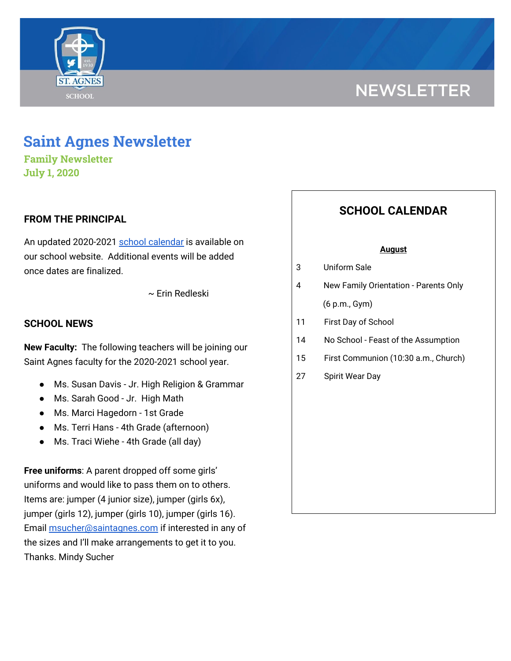

# **NEWSLETTER**

## **Saint Agnes Newsletter**

**Family Newsletter July 1, 2020**

## **FROM THE PRINCIPAL**

An updated 2020-2021 school [calendar](https://school.saintagnes.com/important-dates/) is available on our school website. Additional events will be added once dates are finalized.

~ Erin Redleski

### **SCHOOL NEWS**

**New Faculty:** The following teachers will be joining our Saint Agnes faculty for the 2020-2021 school year.

- Ms. Susan Davis Jr. High Religion & Grammar
- Ms. Sarah Good Jr. High Math
- Ms. Marci Hagedorn 1st Grade
- Ms. Terri Hans 4th Grade (afternoon)
- Ms. Traci Wiehe 4th Grade (all day)

**Free uniforms**: A parent dropped off some girls' uniforms and would like to pass them on to others. Items are: jumper (4 junior size), jumper (girls 6x), jumper (girls 12), jumper (girls 10), jumper (girls 16). Email [msucher@saintagnes.com](mailto:msucher@saintagnes.com) if interested in any of the sizes and I'll make arrangements to get it to you. Thanks. Mindy Sucher

## **SCHOOL CALENDAR**

#### **August**

| 3 | Uniform Sale |
|---|--------------|
|   |              |

- 4 New Family Orientation Parents Only (6 p.m., Gym)
- 11 First Day of School
- 14 No School Feast of the Assumption
- 15 First Communion (10:30 a.m., Church)
- 27 Spirit Wear Day